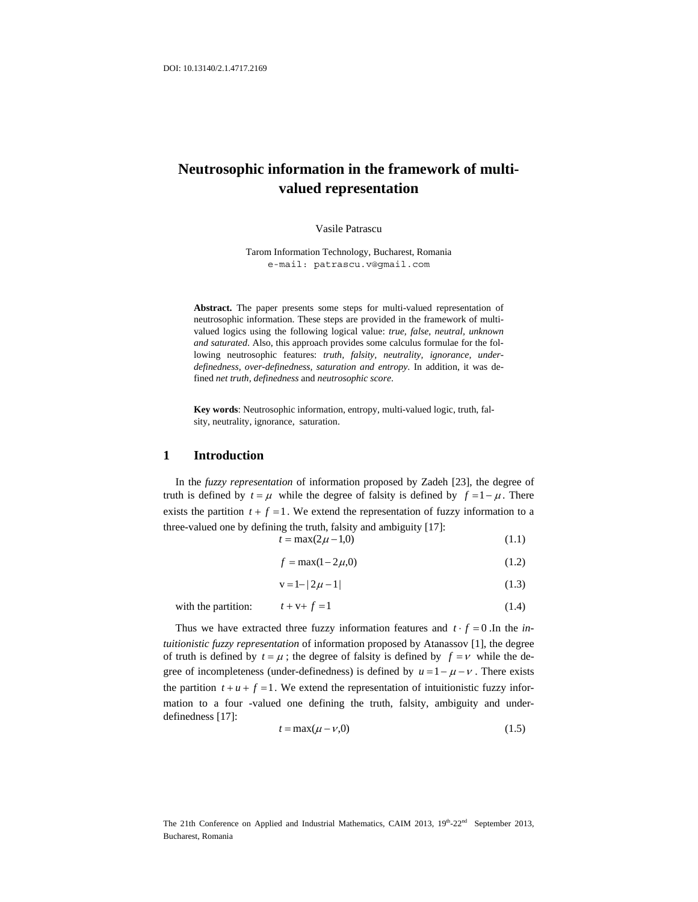# **Neutrosophic information in the framework of multivalued representation**

Vasile Patrascu

Tarom Information Technology, Bucharest, Romania e-mail: patrascu.v@gmail.com

**Abstract.** The paper presents some steps for multi-valued representation of neutrosophic information. These steps are provided in the framework of multivalued logics using the following logical value: *true, false, neutral, unknown and saturated*. Also, this approach provides some calculus formulae for the following neutrosophic features: *truth, falsity, neutrality, ignorance, underdefinedness, over-definedness, saturation and entropy*. In addition, it was defined *net truth, definedness* and *neutrosophic score*.

**Key words**: Neutrosophic information, entropy, multi-valued logic, truth, falsity, neutrality, ignorance, saturation.

#### **1 Introduction**

In the *fuzzy representation* of information proposed by Zadeh [23], the degree of truth is defined by  $t = \mu$  while the degree of falsity is defined by  $f = 1 - \mu$ . There exists the partition  $t + f = 1$ . We extend the representation of fuzzy information to a three-valued one by defining the truth, falsity and ambiguity [17]:

 $t = \max(2\mu - 1,0)$  (1.1)

$$
f = \max(1 - 2\mu, 0) \tag{1.2}
$$

$$
v = 1 - |2\mu - 1| \tag{1.3}
$$

with the partition:  $t + v + f = 1$  (1.4)

Thus we have extracted three fuzzy information features and  $t \cdot f = 0$ . In the *intuitionistic fuzzy representation* of information proposed by Atanassov [1], the degree of truth is defined by  $t = \mu$ ; the degree of falsity is defined by  $f = v$  while the degree of incompleteness (under-definedness) is defined by  $u = 1 - \mu - v$ . There exists the partition  $t + u + f = 1$ . We extend the representation of intuitionistic fuzzy information to a four -valued one defining the truth, falsity, ambiguity and underdefinedness [17]:

$$
t = \max(\mu - \nu, 0) \tag{1.5}
$$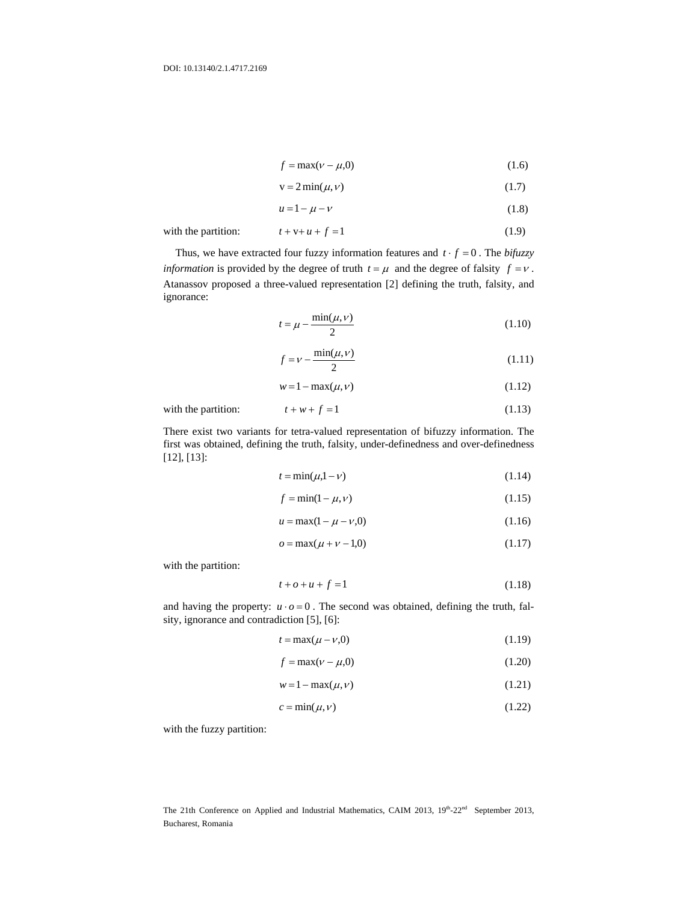$$
f = \max(\nu - \mu, 0) \tag{1.6}
$$

$$
v = 2\min(\mu, \nu) \tag{1.7}
$$

$$
u = 1 - \mu - \nu \tag{1.8}
$$

with the partition:  $t + v + u + f = 1$  (1.9)

Thus, we have extracted four fuzzy information features and  $t \cdot f = 0$ . The *bifuzzy information* is provided by the degree of truth  $t = \mu$  and the degree of falsity  $f = v$ . Atanassov proposed a three-valued representation [2] defining the truth, falsity, and ignorance:

$$
t = \mu - \frac{\min(\mu, \nu)}{2} \tag{1.10}
$$

$$
f = \nu - \frac{\min(\mu, \nu)}{2} \tag{1.11}
$$

$$
w = 1 - \max(\mu, \nu) \tag{1.12}
$$

with the partition:  $t + w + f = 1$  (1.13)

There exist two variants for tetra-valued representation of bifuzzy information. The first was obtained, defining the truth, falsity, under-definedness and over-definedness [12], [13]:

$$
t = \min(\mu, 1 - \nu) \tag{1.14}
$$

$$
f = \min(1 - \mu, \nu) \tag{1.15}
$$

$$
u = \max(1 - \mu - \nu, 0) \tag{1.16}
$$

$$
o = \max(\mu + \nu - 1, 0) \tag{1.17}
$$

with the partition:

$$
t + o + u + f = 1 \tag{1.18}
$$

and having the property:  $u \cdot o = 0$ . The second was obtained, defining the truth, falsity, ignorance and contradiction [5], [6]:

$$
t = \max(\mu - \nu, 0) \tag{1.19}
$$

$$
f = \max(v - \mu, 0) \tag{1.20}
$$

$$
w = 1 - \max(\mu, \nu) \tag{1.21}
$$

$$
c = \min(\mu, \nu) \tag{1.22}
$$

with the fuzzy partition: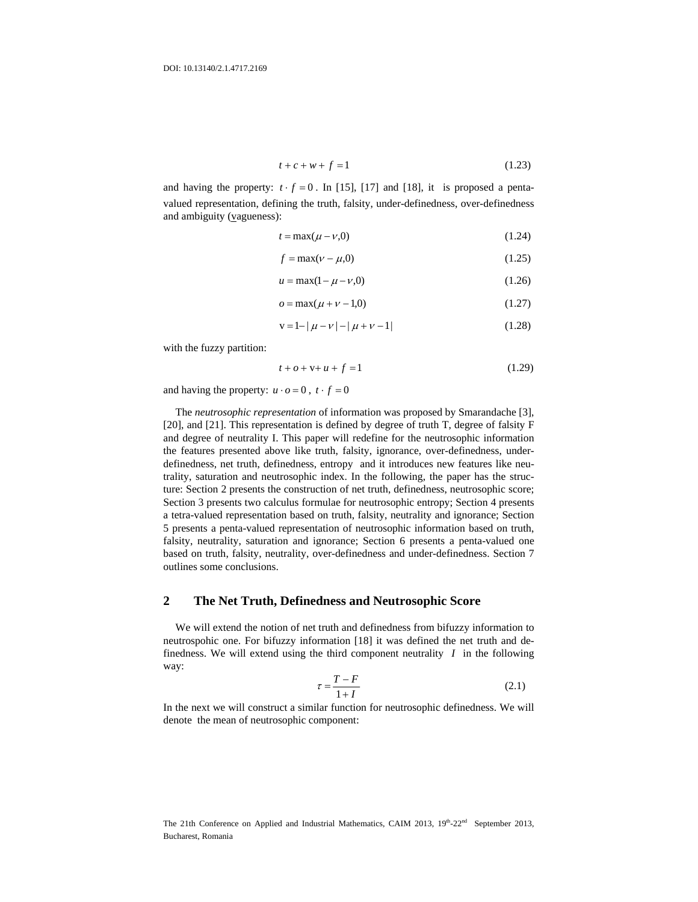$$
t + c + w + f = 1 \tag{1.23}
$$

and having the property:  $t \cdot f = 0$ . In [15], [17] and [18], it is proposed a pentavalued representation, defining the truth, falsity, under-definedness, over-definedness and ambiguity (vagueness):

$$
t = \max(\mu - \nu, 0) \tag{1.24}
$$

$$
f = \max(\nu - \mu, 0) \tag{1.25}
$$

$$
u = \max(1 - \mu - \nu, 0) \tag{1.26}
$$

$$
o = \max(\mu + \nu - 1, 0) \tag{1.27}
$$

$$
v = 1 - |\mu - \nu| - |\mu + \nu - 1| \tag{1.28}
$$

with the fuzzy partition:

$$
t + o + v + u + f = 1 \tag{1.29}
$$

and having the property:  $u \cdot o = 0$ ,  $t \cdot f = 0$ 

The *neutrosophic representation* of information was proposed by Smarandache [3], [20], and [21]. This representation is defined by degree of truth T, degree of falsity F and degree of neutrality I. This paper will redefine for the neutrosophic information the features presented above like truth, falsity, ignorance, over-definedness, underdefinedness, net truth, definedness, entropy and it introduces new features like neutrality, saturation and neutrosophic index. In the following, the paper has the structure: Section 2 presents the construction of net truth, definedness, neutrosophic score; Section 3 presents two calculus formulae for neutrosophic entropy; Section 4 presents a tetra-valued representation based on truth, falsity, neutrality and ignorance; Section 5 presents a penta-valued representation of neutrosophic information based on truth, falsity, neutrality, saturation and ignorance; Section 6 presents a penta-valued one based on truth, falsity, neutrality, over-definedness and under-definedness. Section 7 outlines some conclusions.

### **2 The Net Truth, Definedness and Neutrosophic Score**

We will extend the notion of net truth and definedness from bifuzzy information to neutrospohic one. For bifuzzy information [18] it was defined the net truth and definedness. We will extend using the third component neutrality *I* in the following way:

$$
\tau = \frac{T - F}{1 + I} \tag{2.1}
$$

In the next we will construct a similar function for neutrosophic definedness. We will denote the mean of neutrosophic component: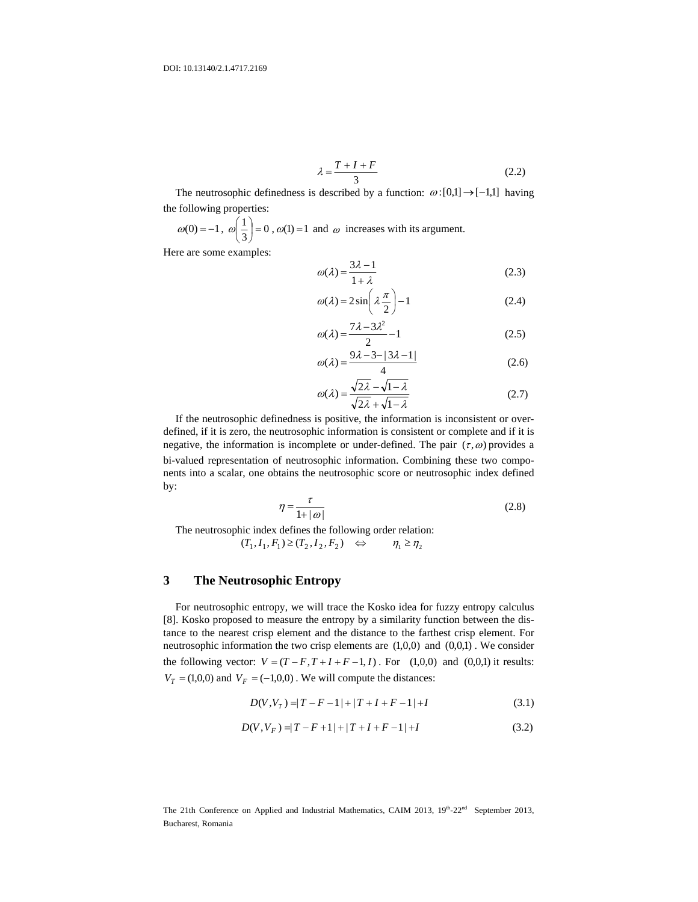$$
\lambda = \frac{T + I + F}{3} \tag{2.2}
$$

The neutrosophic definedness is described by a function:  $\omega$  :[0,1] → [-1,1] having the following properties:

 $\omega(0) = -1, \ \omega \left( \frac{1}{3} \right) = 0$  $\left(\frac{1}{2}\right)$ = ⎠  $\left(\frac{1}{2}\right)$ ⎝  $\omega\left(\frac{1}{2}\right) = 0$ ,  $\omega(1) = 1$  and  $\omega$  increases with its argument.

Here are some examples:

$$
\omega(\lambda) = \frac{3\lambda - 1}{1 + \lambda} \tag{2.3}
$$

$$
\omega(\lambda) = 2\sin\left(\lambda \frac{\pi}{2}\right) - 1\tag{2.4}
$$

$$
\omega(\lambda) = \frac{7\lambda - 3\lambda^2}{2} - 1\tag{2.5}
$$

$$
\omega(\lambda) = \frac{9\lambda - 3 - |3\lambda - 1|}{4} \tag{2.6}
$$

$$
\omega(\lambda) = \frac{\sqrt{2\lambda} - \sqrt{1 - \lambda}}{\sqrt{2\lambda} + \sqrt{1 - \lambda}}
$$
\n(2.7)

If the neutrosophic definedness is positive, the information is inconsistent or overdefined, if it is zero, the neutrosophic information is consistent or complete and if it is negative, the information is incomplete or under-defined. The pair  $(\tau, \omega)$  provides a bi-valued representation of neutrosophic information. Combining these two components into a scalar, one obtains the neutrosophic score or neutrosophic index defined by:

$$
\eta = \frac{\tau}{1 + |\omega|} \tag{2.8}
$$

The neutrosophic index defines the following order relation:

$$
(T_1, I_1, F_1) \ge (T_2, I_2, F_2) \quad \Leftrightarrow \quad \eta_1 \ge \eta_2
$$

#### **3 The Neutrosophic Entropy**

For neutrosophic entropy, we will trace the Kosko idea for fuzzy entropy calculus [8]. Kosko proposed to measure the entropy by a similarity function between the distance to the nearest crisp element and the distance to the farthest crisp element. For neutrosophic information the two crisp elements are (1,0,0) and (0,0,1) . We consider the following vector:  $V = (T - F, T + I + F - 1, I)$ . For (1,0,0) and (0,0,1) it results:  $V_T = (1,0,0)$  and  $V_F = (-1,0,0)$ . We will compute the distances:

$$
D(V, V_T) = |T - F - 1| + |T + I + F - 1| + I \tag{3.1}
$$

$$
D(V, V_F) = |T - F + 1| + |T + I + F - 1| + I \tag{3.2}
$$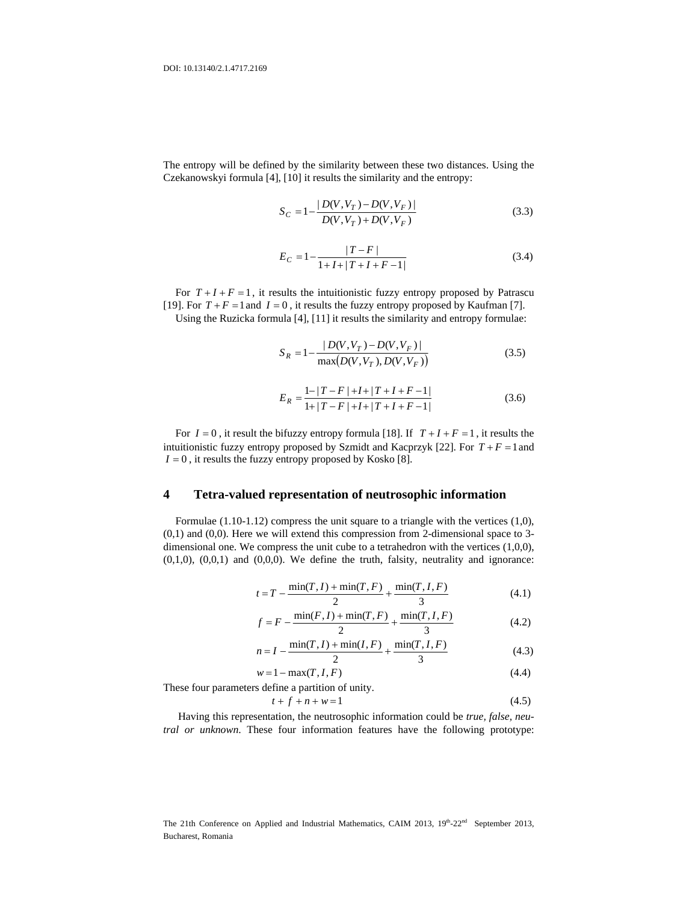The entropy will be defined by the similarity between these two distances. Using the Czekanowskyi formula [4], [10] it results the similarity and the entropy:

$$
S_C = 1 - \frac{|D(V, V_T) - D(V, V_F)|}{D(V, V_T) + D(V, V_F)}
$$
\n(3.3)

$$
E_C = 1 - \frac{|T - F|}{1 + I + |T + I + F - 1|}
$$
\n(3.4)

For  $T + I + F = 1$ , it results the intuitionistic fuzzy entropy proposed by Patrascu [19]. For  $T + F = 1$  and  $I = 0$ , it results the fuzzy entropy proposed by Kaufman [7].

Using the Ruzicka formula [4], [11] it results the similarity and entropy formulae:

$$
S_R = 1 - \frac{|D(V, V_T) - D(V, V_F)|}{\max(D(V, V_T), D(V, V_F))}
$$
\n(3.5)

$$
E_R = \frac{1 - |T - F| + I + |T + I + F - 1|}{1 + |T - F| + I + |T + I + F - 1|}
$$
\n(3.6)

For  $I = 0$ , it result the bifuzzy entropy formula [18]. If  $T + I + F = 1$ , it results the intuitionistic fuzzy entropy proposed by Szmidt and Kacprzyk  $[22]$ . For  $T + F = 1$  and  $I = 0$ , it results the fuzzy entropy proposed by Kosko [8].

## **4 Tetra-valued representation of neutrosophic information**

Formulae (1.10-1.12) compress the unit square to a triangle with the vertices (1,0), (0,1) and (0,0). Here we will extend this compression from 2-dimensional space to 3 dimensional one. We compress the unit cube to a tetrahedron with the vertices (1,0,0),  $(0,1,0)$ ,  $(0,0,1)$  and  $(0,0,0)$ . We define the truth, falsity, neutrality and ignorance:

$$
t = T - \frac{\min(T, I) + \min(T, F)}{2} + \frac{\min(T, I, F)}{3}
$$
(4.1)

$$
f = F - \frac{\min(F, I) + \min(T, F)}{2} + \frac{\min(T, I, F)}{3}
$$
(4.2)

$$
n = I - \frac{\min(T, I) + \min(I, F)}{2} + \frac{\min(T, I, F)}{3}
$$
(4.3)

$$
w = 1 - \max(T, I, F) \tag{4.4}
$$

These four parameters define a partition of unity.

$$
t + f + n + w = 1 \tag{4.5}
$$

 Having this representation, the neutrosophic information could be *true, false, neutral or unknown*. These four information features have the following prototype: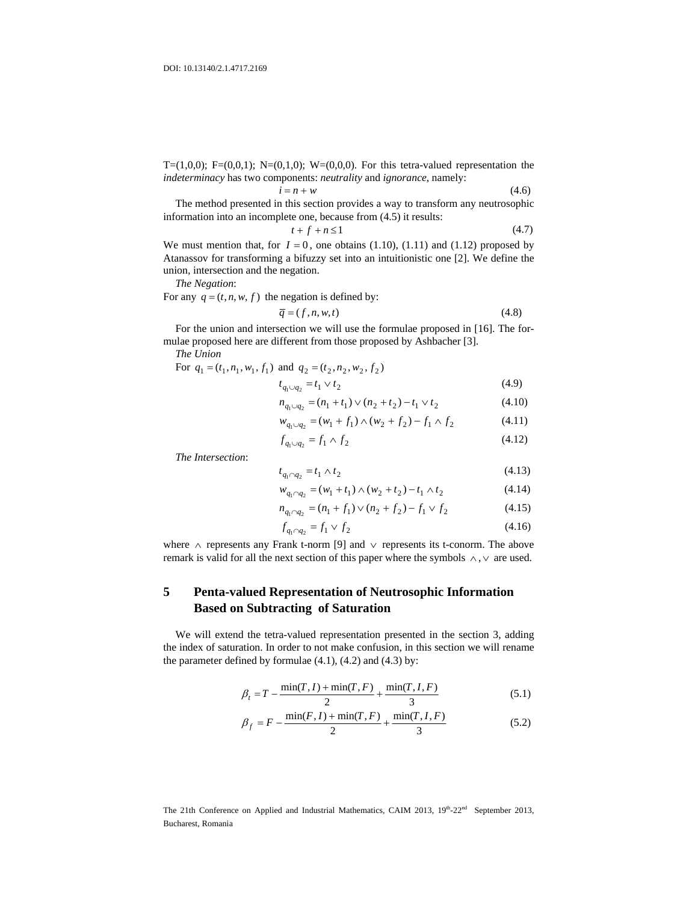T= $(1,0,0)$ ; F= $(0,0,1)$ ; N= $(0,1,0)$ ; W= $(0,0,0)$ . For this tetra-valued representation the *indeterminacy* has two components: *neutrality* and *ignorance*, namely:

$$
i = n + w \tag{4.6}
$$

The method presented in this section provides a way to transform any neutrosophic information into an incomplete one, because from (4.5) it results:

$$
t + f + n \le 1 \tag{4.7}
$$

We must mention that, for  $I = 0$ , one obtains (1.10), (1.11) and (1.12) proposed by Atanassov for transforming a bifuzzy set into an intuitionistic one [2]. We define the union, intersection and the negation.

*The Negation*:

For any  $q = (t, n, w, f)$  the negation is defined by:

$$
\overline{q} = (f, n, w, t) \tag{4.8}
$$

For the union and intersection we will use the formulae proposed in [16]. The formulae proposed here are different from those proposed by Ashbacher [3].

*The Union* 

For 
$$
q_1 = (t_1, n_1, w_1, f_1)
$$
 and  $q_2 = (t_2, n_2, w_2, f_2)$   

$$
t_{q_1 \cup q_2} = t_1 \vee t_2
$$
 (4.9)

$$
n_{q_1 \cup q_2} = (n_1 + t_1) \vee (n_2 + t_2) - t_1 \vee t_2 \tag{4.10}
$$

$$
w_{q_1 \cup q_2} = (w_1 + f_1) \wedge (w_2 + f_2) - f_1 \wedge f_2 \tag{4.11}
$$

$$
f_{q_1 \cup q_2} = f_1 \wedge f_2 \tag{4.12}
$$

*The Intersection*:

$$
t_{q_1 \cap q_2} = t_1 \wedge t_2 \tag{4.13}
$$

$$
w_{q_1 \cap q_2} = (w_1 + t_1) \wedge (w_2 + t_2) - t_1 \wedge t_2 \tag{4.14}
$$

$$
n_{q_1 \cap q_2} = (n_1 + f_1) \lor (n_2 + f_2) - f_1 \lor f_2 \tag{4.15}
$$

$$
f_{q_1 \cap q_2} = f_1 \lor f_2 \tag{4.16}
$$

where ∧ represents any Frank t-norm [9] and ∨ represents its t-conorm. The above remark is valid for all the next section of this paper where the symbols ∧ , ∨ are used.

# **5 Penta-valued Representation of Neutrosophic Information Based on Subtracting of Saturation**

We will extend the tetra-valued representation presented in the section 3, adding the index of saturation. In order to not make confusion, in this section we will rename the parameter defined by formulae  $(4.1)$ ,  $(4.2)$  and  $(4.3)$  by:

$$
\beta_t = T - \frac{\min(T, I) + \min(T, F)}{2} + \frac{\min(T, I, F)}{3}
$$
\n(5.1)

$$
\beta_f = F - \frac{\min(F, I) + \min(T, F)}{2} + \frac{\min(T, I, F)}{3}
$$
\n(5.2)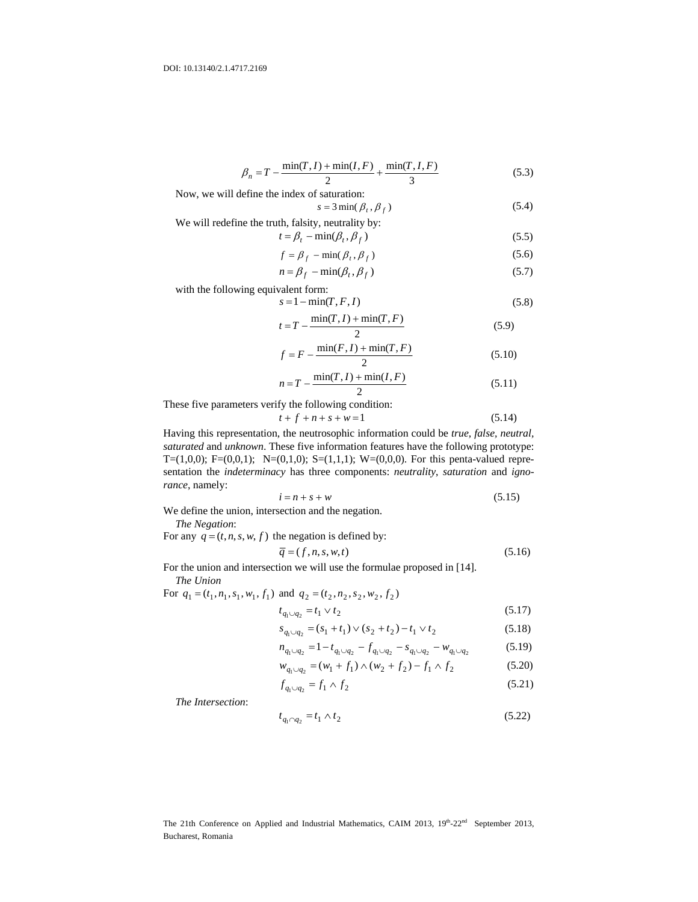$$
\beta_n = T - \frac{\min(T, I) + \min(I, F)}{2} + \frac{\min(T, I, F)}{3}
$$
\n(5.3)

Now, we will define the index of saturation:

$$
s = 3\min(\beta_t, \beta_f) \tag{5.4}
$$

We will redefine the truth, falsity, neutrality by:  
\n
$$
t = B = \min(B, B)
$$
 (5.5)

$$
t = \beta_t - \min(\beta_t, \beta_f) \tag{5.5}
$$

$$
f = \beta_f - \min(\beta_t, \beta_f) \tag{5.6}
$$

$$
n = \beta_f - \min(\beta_t, \beta_f) \tag{5.7}
$$

with the following equivalent form:

$$
s = 1 - \min(T, F, I) \tag{5.8}
$$

$$
t = T - \frac{\min(T, I) + \min(T, F)}{2} \tag{5.9}
$$

$$
f = F - \frac{\min(F, I) + \min(T, F)}{2}
$$
 (5.10)

$$
n = T - \frac{\min(T, I) + \min(I, F)}{2}
$$
\n(5.11)

These five parameters verify the following condition:

$$
t + f + n + s + w = 1 \tag{5.14}
$$

Having this representation, the neutrosophic information could be *true, false, neutral, saturated* and *unknown*. These five information features have the following prototype: T=(1,0,0); F=(0,0,1); N=(0,1,0); S=(1,1,1); W=(0,0,0). For this penta-valued representation the *indeterminacy* has three components: *neutrality*, *saturation* and *ignorance*, namely:

$$
i = n + s + w \tag{5.15}
$$

We define the union, intersection and the negation.

*The Negation*:

For any  $q = (t, n, s, w, f)$  the negation is defined by:

$$
\overline{q} = (f, n, s, w, t) \tag{5.16}
$$

For the union and intersection we will use the formulae proposed in [14]. *The Union* 

For  $q_1 = (t_1, n_1, s_1, w_1, f_1)$  and  $q_2 = (t_2, n_2, s_2, w_2, f_2)$ 

$$
t_{q_1 \cup q_2} = t_1 \vee t_2 \tag{5.17}
$$

$$
s_{q_1 \cup q_2} = (s_1 + t_1) \vee (s_2 + t_2) - t_1 \vee t_2 \tag{5.18}
$$

$$
n_{q_1 \cup q_2} = 1 - t_{q_1 \cup q_2} - f_{q_1 \cup q_2} - s_{q_1 \cup q_2} - w_{q_1 \cup q_2} \tag{5.19}
$$

$$
w_{q_1 \cup q_2} = (w_1 + f_1) \wedge (w_2 + f_2) - f_1 \wedge f_2 \tag{5.20}
$$

$$
f_{q_1 \cup q_2} = f_1 \wedge f_2 \tag{5.21}
$$

*The Intersection*:

$$
t_{q_1 \cap q_2} = t_1 \wedge t_2 \tag{5.22}
$$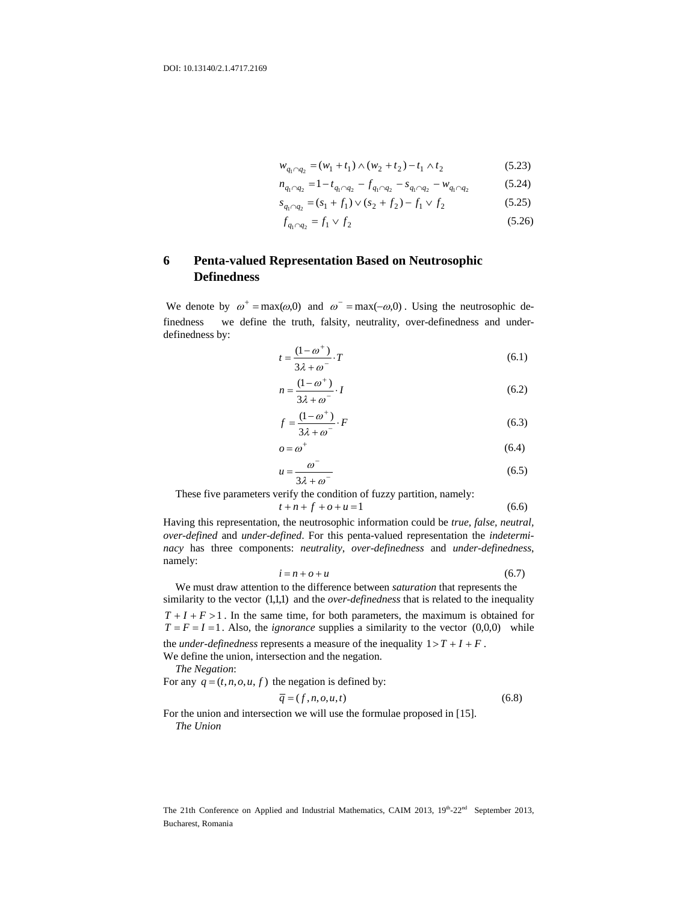$$
w_{q_1 \cap q_2} = (w_1 + t_1) \wedge (w_2 + t_2) - t_1 \wedge t_2 \tag{5.23}
$$

$$
n_{q_1 \cap q_2} = 1 - t_{q_1 \cap q_2} - f_{q_1 \cap q_2} - s_{q_1 \cap q_2} - w_{q_1 \cap q_2} \tag{5.24}
$$

$$
s_{q_1 \cap q_2} = (s_1 + f_1) \lor (s_2 + f_2) - f_1 \lor f_2 \tag{5.25}
$$

$$
f_{q_1 \cap q_2} = f_1 \lor f_2 \tag{5.26}
$$

# **6 Penta-valued Representation Based on Neutrosophic Definedness**

We denote by  $\omega^+ = \max(\omega, 0)$  and  $\omega^- = \max(-\omega, 0)$ . Using the neutrosophic definedness we define the truth, falsity, neutrality, over-definedness and underdefinedness by:

$$
t = \frac{(1 - \omega^+)}{3\lambda + \omega^-} \cdot T \tag{6.1}
$$

$$
n = \frac{(1 - \omega^+)}{3\lambda + \omega^-} \cdot I \tag{6.2}
$$

$$
f = \frac{(1 - \omega^+)}{3\lambda + \omega^-} \cdot F \tag{6.3}
$$

$$
o = \omega^+ \tag{6.4}
$$

$$
u = \frac{\omega}{3\lambda + \omega} \tag{6.5}
$$

These five parameters verify the condition of fuzzy partition, namely:

$$
t + n + f + o + u = 1 \tag{6.6}
$$

Having this representation, the neutrosophic information could be *true, false, neutral, over-defined* and *under-defined*. For this penta-valued representation the *indeterminacy* has three components: *neutrality*, *over-definedness* and *under-definedness*, namely:

$$
i = n + o + u \tag{6.7}
$$

We must draw attention to the difference between *saturation* that represents the similarity to the vector (1,1,1) and the *over-definedness* that is related to the inequality  $T + I + F > 1$ . In the same time, for both parameters, the maximum is obtained for  $T = F = I = 1$ . Also, the *ignorance* supplies a similarity to the vector (0,0,0) while the *under-definedness* represents a measure of the inequality  $1 > T + I + F$ .

We define the union, intersection and the negation.

*The Negation*:

For any  $q = (t, n, o, u, f)$  the negation is defined by:

$$
\overline{q} = (f, n, o, u, t) \tag{6.8}
$$

For the union and intersection we will use the formulae proposed in [15]. *The Union*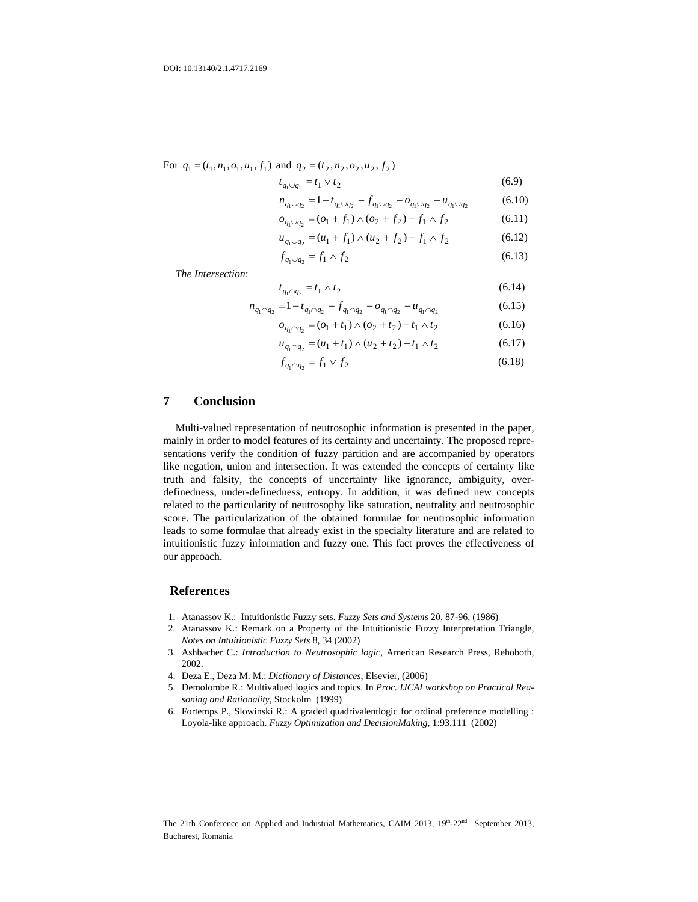For 
$$
q_1 = (t_1, n_1, o_1, u_1, f_1)
$$
 and  $q_2 = (t_2, n_2, o_2, u_2, f_2)$ 

$$
t_{q_1 \cup q_2} = t_1 \vee t_2 \tag{6.9}
$$

$$
n_{q_1 \cup q_2} = 1 - t_{q_1 \cup q_2} - f_{q_1 \cup q_2} - o_{q_1 \cup q_2} - u_{q_1 \cup q_2} \tag{6.10}
$$

$$
o_{q_1 \cup q_2} = (o_1 + f_1) \wedge (o_2 + f_2) - f_1 \wedge f_2 \tag{6.11}
$$

$$
u_{q_1 \cup q_2} = (u_1 + f_1) \wedge (u_2 + f_2) - f_1 \wedge f_2 \tag{6.12}
$$

$$
f_{q_1 \cup q_2} = f_1 \wedge f_2 \tag{6.13}
$$

*The Intersection*:

$$
t_{q_1 \cap q_2} = t_1 \wedge t_2 \tag{6.14}
$$

$$
n_{q_1 \cap q_2} = 1 - t_{q_1 \cap q_2} - f_{q_1 \cap q_2} - o_{q_1 \cap q_2} - u_{q_1 \cap q_2}
$$
(6.15)

$$
o_{q_1 \cap q_2} = (o_1 + t_1) \land (o_2 + t_2) - t_1 \land t_2
$$
\n(6.16)

$$
u_{q_1 \cap q_2} = (u_1 + t_1) \wedge (u_2 + t_2) - t_1 \wedge t_2 \tag{6.17}
$$

$$
f_{q_1 \cap q_2} = f_1 \lor f_2 \tag{6.18}
$$

## **7 Conclusion**

Multi-valued representation of neutrosophic information is presented in the paper, mainly in order to model features of its certainty and uncertainty. The proposed representations verify the condition of fuzzy partition and are accompanied by operators like negation, union and intersection. It was extended the concepts of certainty like truth and falsity, the concepts of uncertainty like ignorance, ambiguity, overdefinedness, under-definedness, entropy. In addition, it was defined new concepts related to the particularity of neutrosophy like saturation, neutrality and neutrosophic score. The particularization of the obtained formulae for neutrosophic information leads to some formulae that already exist in the specialty literature and are related to intuitionistic fuzzy information and fuzzy one. This fact proves the effectiveness of our approach.

#### **References**

- 1. Atanassov K.: Intuitionistic Fuzzy sets. *Fuzzy Sets and Systems* 20, 87-96, (1986)
- 2. Atanassov K.: Remark on a Property of the Intuitionistic Fuzzy Interpretation Triangle, *Notes on Intuitionistic Fuzzy Sets* 8, 34 (2002)
- 3. Ashbacher C.: *Introduction to Neutrosophic logic*, American Research Press, Rehoboth, 2002.
- 4. Deza E., Deza M. M.: *Dictionary of Distances*, Elsevier, (2006)
- 5. Demolombe R.: Multivalued logics and topics. In *Proc. IJCAI workshop on Practical Reasoning and Rationality,* Stockolm (1999)
- 6. Fortemps P., Slowinski R.: A graded quadrivalentlogic for ordinal preference modelling : Loyola-like approach. *Fuzzy Optimization and DecisionMaking*, 1:93.111 (2002)